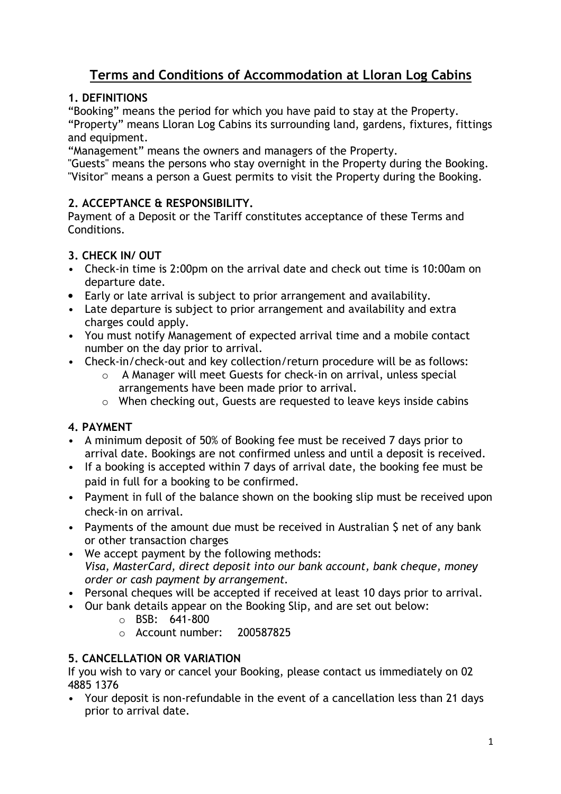# Terms and Conditions of Accommodation at Lloran Log Cabins

## 1. DEFINITIONS

"Booking" means the period for which you have paid to stay at the Property. "Property" means Lloran Log Cabins its surrounding land, gardens, fixtures, fittings and equipment.

"Management" means the owners and managers of the Property.

"Guests" means the persons who stay overnight in the Property during the Booking. "Visitor" means a person a Guest permits to visit the Property during the Booking.

## 2. ACCEPTANCE & RESPONSIBILITY.

Payment of a Deposit or the Tariff constitutes acceptance of these Terms and Conditions.

## 3. CHECK IN/ OUT

- Check-in time is 2:00pm on the arrival date and check out time is 10:00am on departure date.
- Early or late arrival is subject to prior arrangement and availability.
- Late departure is subject to prior arrangement and availability and extra charges could apply.
- You must notify Management of expected arrival time and a mobile contact number on the day prior to arrival.
- Check-in/check-out and key collection/return procedure will be as follows:
	- o A Manager will meet Guests for check-in on arrival, unless special arrangements have been made prior to arrival.
	- o When checking out, Guests are requested to leave keys inside cabins

## 4. PAYMENT

- A minimum deposit of 50% of Booking fee must be received 7 days prior to arrival date. Bookings are not confirmed unless and until a deposit is received.
- If a booking is accepted within 7 days of arrival date, the booking fee must be paid in full for a booking to be confirmed.
- Payment in full of the balance shown on the booking slip must be received upon check-in on arrival.
- Payments of the amount due must be received in Australian \$ net of any bank or other transaction charges
- We accept payment by the following methods: Visa, MasterCard, direct deposit into our bank account, bank cheque, money order or cash payment by arrangement.
- Personal cheques will be accepted if received at least 10 days prior to arrival.
- Our bank details appear on the Booking Slip, and are set out below:
	- o BSB: 641-800
	- o Account number: 200587825

## 5. CANCELLATION OR VARIATION

If you wish to vary or cancel your Booking, please contact us immediately on 02 4885 1376

• Your deposit is non-refundable in the event of a cancellation less than 21 days prior to arrival date.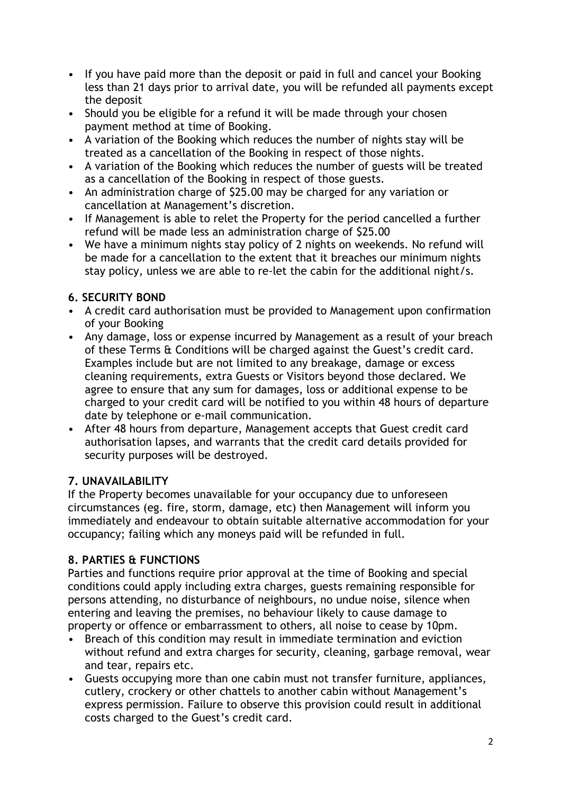- If you have paid more than the deposit or paid in full and cancel your Booking less than 21 days prior to arrival date, you will be refunded all payments except the deposit
- Should you be eligible for a refund it will be made through your chosen payment method at time of Booking.
- A variation of the Booking which reduces the number of nights stay will be treated as a cancellation of the Booking in respect of those nights.
- A variation of the Booking which reduces the number of guests will be treated as a cancellation of the Booking in respect of those guests.
- An administration charge of \$25.00 may be charged for any variation or cancellation at Management's discretion.
- If Management is able to relet the Property for the period cancelled a further refund will be made less an administration charge of \$25.00
- We have a minimum nights stay policy of 2 nights on weekends. No refund will be made for a cancellation to the extent that it breaches our minimum nights stay policy, unless we are able to re-let the cabin for the additional night/s.

## 6. SECURITY BOND

- A credit card authorisation must be provided to Management upon confirmation of your Booking
- Any damage, loss or expense incurred by Management as a result of your breach of these Terms & Conditions will be charged against the Guest's credit card. Examples include but are not limited to any breakage, damage or excess cleaning requirements, extra Guests or Visitors beyond those declared. We agree to ensure that any sum for damages, loss or additional expense to be charged to your credit card will be notified to you within 48 hours of departure date by telephone or e-mail communication.
- After 48 hours from departure, Management accepts that Guest credit card authorisation lapses, and warrants that the credit card details provided for security purposes will be destroyed.

## 7. UNAVAILABILITY

If the Property becomes unavailable for your occupancy due to unforeseen circumstances (eg. fire, storm, damage, etc) then Management will inform you immediately and endeavour to obtain suitable alternative accommodation for your occupancy; failing which any moneys paid will be refunded in full.

## 8. PARTIES & FUNCTIONS

Parties and functions require prior approval at the time of Booking and special conditions could apply including extra charges, guests remaining responsible for persons attending, no disturbance of neighbours, no undue noise, silence when entering and leaving the premises, no behaviour likely to cause damage to property or offence or embarrassment to others, all noise to cease by 10pm.

- Breach of this condition may result in immediate termination and eviction without refund and extra charges for security, cleaning, garbage removal, wear and tear, repairs etc.
- Guests occupying more than one cabin must not transfer furniture, appliances, cutlery, crockery or other chattels to another cabin without Management's express permission. Failure to observe this provision could result in additional costs charged to the Guest's credit card.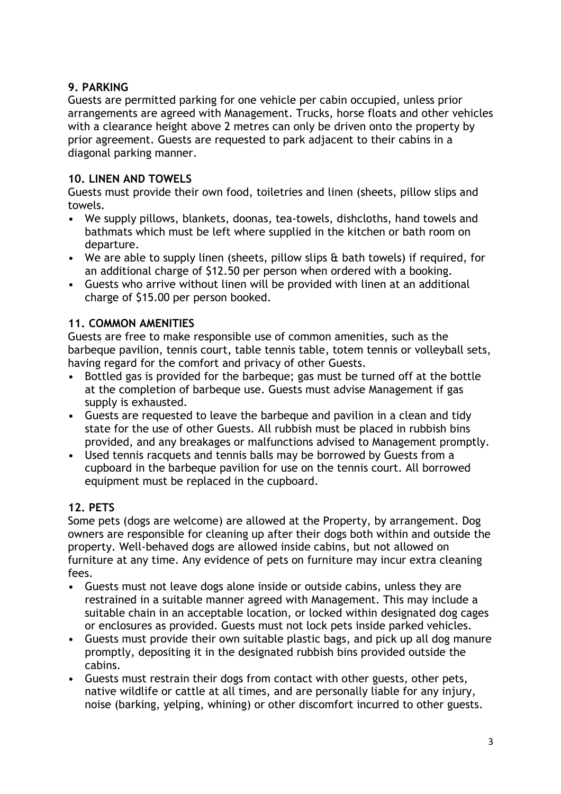## 9. PARKING

Guests are permitted parking for one vehicle per cabin occupied, unless prior arrangements are agreed with Management. Trucks, horse floats and other vehicles with a clearance height above 2 metres can only be driven onto the property by prior agreement. Guests are requested to park adjacent to their cabins in a diagonal parking manner.

## 10. LINEN AND TOWELS

Guests must provide their own food, toiletries and linen (sheets, pillow slips and towels.

- We supply pillows, blankets, doonas, tea-towels, dishcloths, hand towels and bathmats which must be left where supplied in the kitchen or bath room on departure.
- We are able to supply linen (sheets, pillow slips & bath towels) if required, for an additional charge of \$12.50 per person when ordered with a booking.
- Guests who arrive without linen will be provided with linen at an additional charge of \$15.00 per person booked.

## 11. COMMON AMENITIES

Guests are free to make responsible use of common amenities, such as the barbeque pavilion, tennis court, table tennis table, totem tennis or volleyball sets, having regard for the comfort and privacy of other Guests.

- Bottled gas is provided for the barbeque; gas must be turned off at the bottle at the completion of barbeque use. Guests must advise Management if gas supply is exhausted.
- Guests are requested to leave the barbeque and pavilion in a clean and tidy state for the use of other Guests. All rubbish must be placed in rubbish bins provided, and any breakages or malfunctions advised to Management promptly.
- Used tennis racquets and tennis balls may be borrowed by Guests from a cupboard in the barbeque pavilion for use on the tennis court. All borrowed equipment must be replaced in the cupboard.

## 12. PETS

Some pets (dogs are welcome) are allowed at the Property, by arrangement. Dog owners are responsible for cleaning up after their dogs both within and outside the property. Well-behaved dogs are allowed inside cabins, but not allowed on furniture at any time. Any evidence of pets on furniture may incur extra cleaning fees.

- Guests must not leave dogs alone inside or outside cabins, unless they are restrained in a suitable manner agreed with Management. This may include a suitable chain in an acceptable location, or locked within designated dog cages or enclosures as provided. Guests must not lock pets inside parked vehicles.
- Guests must provide their own suitable plastic bags, and pick up all dog manure promptly, depositing it in the designated rubbish bins provided outside the cabins.
- Guests must restrain their dogs from contact with other guests, other pets, native wildlife or cattle at all times, and are personally liable for any injury, noise (barking, yelping, whining) or other discomfort incurred to other guests.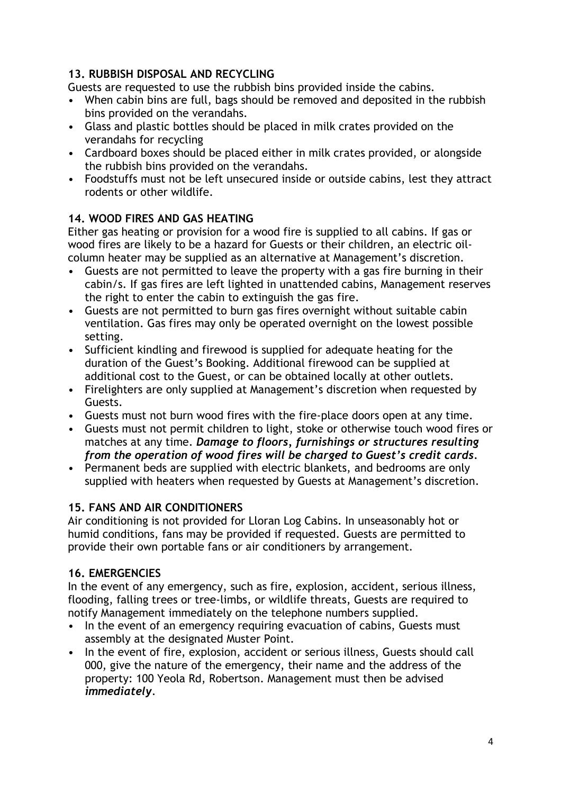#### 13. RUBBISH DISPOSAL AND RECYCLING

Guests are requested to use the rubbish bins provided inside the cabins.

- When cabin bins are full, bags should be removed and deposited in the rubbish bins provided on the verandahs.
- Glass and plastic bottles should be placed in milk crates provided on the verandahs for recycling
- Cardboard boxes should be placed either in milk crates provided, or alongside the rubbish bins provided on the verandahs.
- Foodstuffs must not be left unsecured inside or outside cabins, lest they attract rodents or other wildlife.

#### 14. WOOD FIRES AND GAS HEATING

Either gas heating or provision for a wood fire is supplied to all cabins. If gas or wood fires are likely to be a hazard for Guests or their children, an electric oilcolumn heater may be supplied as an alternative at Management's discretion.

- Guests are not permitted to leave the property with a gas fire burning in their cabin/s. If gas fires are left lighted in unattended cabins, Management reserves the right to enter the cabin to extinguish the gas fire.
- Guests are not permitted to burn gas fires overnight without suitable cabin ventilation. Gas fires may only be operated overnight on the lowest possible setting.
- Sufficient kindling and firewood is supplied for adequate heating for the duration of the Guest's Booking. Additional firewood can be supplied at additional cost to the Guest, or can be obtained locally at other outlets.
- Firelighters are only supplied at Management's discretion when requested by Guests.
- Guests must not burn wood fires with the fire-place doors open at any time.
- Guests must not permit children to light, stoke or otherwise touch wood fires or matches at any time. Damage to floors, furnishings or structures resulting from the operation of wood fires will be charged to Guest's credit cards.
- Permanent beds are supplied with electric blankets, and bedrooms are only supplied with heaters when requested by Guests at Management's discretion.

#### 15. FANS AND AIR CONDITIONERS

Air conditioning is not provided for Lloran Log Cabins. In unseasonably hot or humid conditions, fans may be provided if requested. Guests are permitted to provide their own portable fans or air conditioners by arrangement.

#### 16. EMERGENCIES

In the event of any emergency, such as fire, explosion, accident, serious illness, flooding, falling trees or tree-limbs, or wildlife threats, Guests are required to notify Management immediately on the telephone numbers supplied.

- In the event of an emergency requiring evacuation of cabins, Guests must assembly at the designated Muster Point.
- In the event of fire, explosion, accident or serious illness, Guests should call 000, give the nature of the emergency, their name and the address of the property: 100 Yeola Rd, Robertson. Management must then be advised immediately.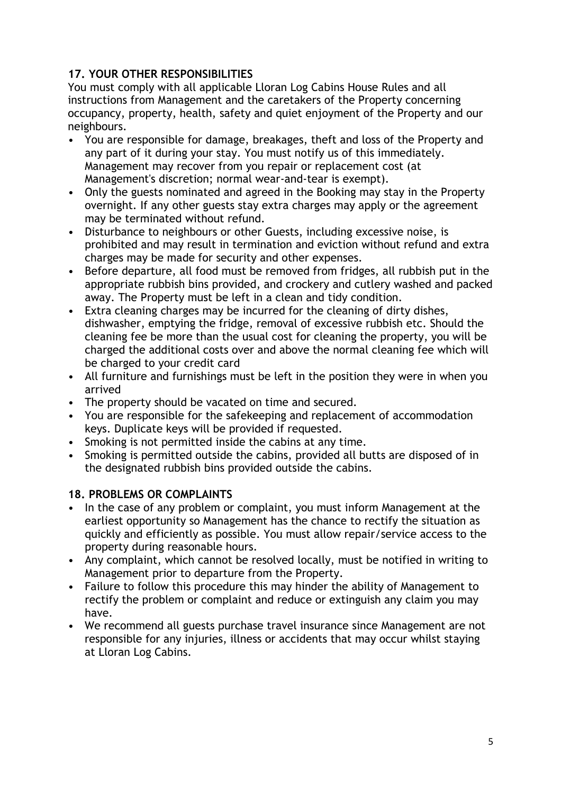#### 17. YOUR OTHER RESPONSIBILITIES

You must comply with all applicable Lloran Log Cabins House Rules and all instructions from Management and the caretakers of the Property concerning occupancy, property, health, safety and quiet enjoyment of the Property and our neighbours.

- You are responsible for damage, breakages, theft and loss of the Property and any part of it during your stay. You must notify us of this immediately. Management may recover from you repair or replacement cost (at Management's discretion; normal wear-and-tear is exempt).
- Only the guests nominated and agreed in the Booking may stay in the Property overnight. If any other guests stay extra charges may apply or the agreement may be terminated without refund.
- Disturbance to neighbours or other Guests, including excessive noise, is prohibited and may result in termination and eviction without refund and extra charges may be made for security and other expenses.
- Before departure, all food must be removed from fridges, all rubbish put in the appropriate rubbish bins provided, and crockery and cutlery washed and packed away. The Property must be left in a clean and tidy condition.
- Extra cleaning charges may be incurred for the cleaning of dirty dishes, dishwasher, emptying the fridge, removal of excessive rubbish etc. Should the cleaning fee be more than the usual cost for cleaning the property, you will be charged the additional costs over and above the normal cleaning fee which will be charged to your credit card
- All furniture and furnishings must be left in the position they were in when you arrived
- The property should be vacated on time and secured.
- You are responsible for the safekeeping and replacement of accommodation keys. Duplicate keys will be provided if requested.
- Smoking is not permitted inside the cabins at any time.
- Smoking is permitted outside the cabins, provided all butts are disposed of in the designated rubbish bins provided outside the cabins.

#### 18. PROBLEMS OR COMPLAINTS

- In the case of any problem or complaint, you must inform Management at the earliest opportunity so Management has the chance to rectify the situation as quickly and efficiently as possible. You must allow repair/service access to the property during reasonable hours.
- Any complaint, which cannot be resolved locally, must be notified in writing to Management prior to departure from the Property.
- Failure to follow this procedure this may hinder the ability of Management to rectify the problem or complaint and reduce or extinguish any claim you may have.
- We recommend all guests purchase travel insurance since Management are not responsible for any injuries, illness or accidents that may occur whilst staying at Lloran Log Cabins.